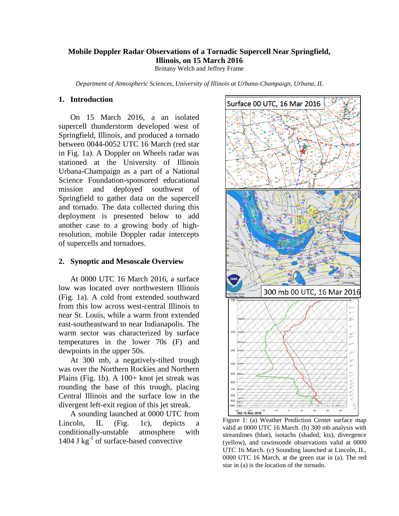## **Mobile Doppler Radar Observations of a Tornadic Supercell Near Springfield, Illinois, on 15 March 2016**

Brittany Welch and Jeffrey Frame

*Department of Atmospheric Sciences, University of Illinois at Urbana-Champaign, Urbana, IL*

# **1. Introduction**

On 15 March 2016, a an isolated supercell thunderstorm developed west of Springfield, Illinois, and produced a tornado between 0044-0052 UTC 16 March (red star in Fig. 1a). A Doppler on Wheels radar was stationed at the University of Illinois Urbana-Champaign as a part of a National Science Foundation-sponsored educational mission and deployed southwest of Springfield to gather data on the supercell and tornado. The data collected during this deployment is presented below to add another case to a growing body of highresolution, mobile Doppler radar intercepts of supercells and tornadoes.

### **2. Synoptic and Mesoscale Overview**

At 0000 UTC 16 March 2016, a surface low was located over northwestern Illinois (Fig. 1a). A cold front extended southward from this low across west-central Illinois to near St. Louis, while a warm front extended east-southeastward to near Indianapolis. The warm sector was characterized by surface temperatures in the lower 70s (F) and dewpoints in the upper 50s.

At 300 mb, a negatively-tilted trough was over the Northern Rockies and Northern Plains (Fig. 1b). A 100+ knot jet streak was rounding the base of this trough, placing Central Illinois and the surface low in the divergent left-exit region of this jet streak.

A sounding launched at 0000 UTC from Lincoln, IL (Fig. 1c), depicts a conditionally-unstable atmosphere with 1404 J  $kg^{-1}$  of surface-based convective



Figure 1: (a) Weather Prediction Center surface map valid at 0000 UTC 16 March. (b) 300 mb analysis with streamlines (blue), isotachs (shaded; kts), divergence (yellow), and rawinsonde observations valid at 0000 UTC 16 March. (c) Sounding launched at Lincoln, IL, 0000 UTC 16 March, at the green star in (a). The red star in (a) is the location of the tornado.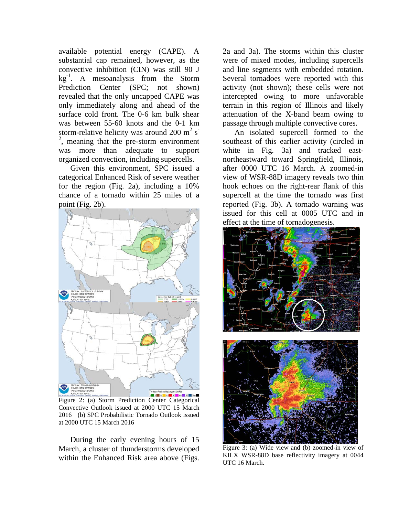available potential energy (CAPE). A substantial cap remained, however, as the convective inhibition (CIN) was still 90 J  $kg^{-1}$ . A mesoanalysis from the Storm Prediction Center (SPC; not shown) revealed that the only uncapped CAPE was only immediately along and ahead of the surface cold front. The 0-6 km bulk shear was between 55-60 knots and the 0-1 km storm-relative helicity was around 200 m<sup>2</sup> s<sup>-</sup>  $2$ , meaning that the pre-storm environment was more than adequate to support organized convection, including supercells.

Given this environment, SPC issued a categorical Enhanced Risk of severe weather for the region (Fig. 2a), including a 10% chance of a tornado within 25 miles of a point (Fig. 2b).



Figure 2: (a) Storm Prediction Center Categorical Convective Outlook issued at 2000 UTC 15 March 2016 (b) SPC Probabilistic Tornado Outlook issued at 2000 UTC 15 March 2016

During the early evening hours of 15 March, a cluster of thunderstorms developed within the Enhanced Risk area above (Figs.

2a and 3a). The storms within this cluster were of mixed modes, including supercells and line segments with embedded rotation. Several tornadoes were reported with this activity (not shown); these cells were not intercepted owing to more unfavorable terrain in this region of Illinois and likely attenuation of the X-band beam owing to passage through multiple convective cores.

An isolated supercell formed to the southeast of this earlier activity (circled in white in Fig. 3a) and tracked eastnortheastward toward Springfield, Illinois, after 0000 UTC 16 March. A zoomed-in view of WSR-88D imagery reveals two thin hook echoes on the right-rear flank of this supercell at the time the tornado was first reported (Fig. 3b). A tornado warning was issued for this cell at 0005 UTC and in effect at the time of tornadogenesis.



Figure 3: (a) Wide view and (b) zoomed-in view of KILX WSR-88D base reflectivity imagery at 0044 UTC 16 March.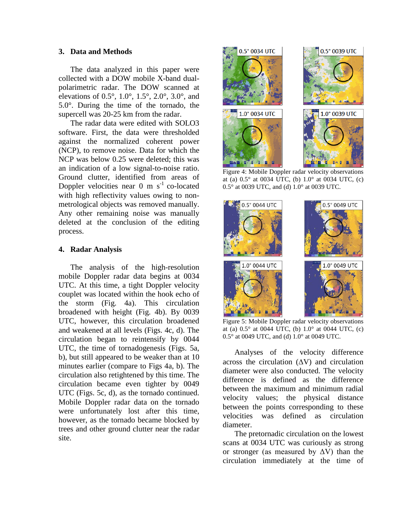### **3. Data and Methods**

The data analyzed in this paper were collected with a DOW mobile X-band dualpolarimetric radar. The DOW scanned at elevations of 0.5°, 1.0°, 1.5°, 2.0°, 3.0°, and 5.0°. During the time of the tornado, the supercell was 20-25 km from the radar.

The radar data were edited with SOLO3 software. First, the data were thresholded against the normalized coherent power (NCP), to remove noise. Data for which the NCP was below 0.25 were deleted; this was an indication of a low signal-to-noise ratio. Ground clutter, identified from areas of Doppler velocities near  $0 \text{ m s}^{-1}$  co-located with high reflectivity values owing to nonmetrological objects was removed manually. Any other remaining noise was manually deleted at the conclusion of the editing process.

# **4. Radar Analysis**

The analysis of the high-resolution mobile Doppler radar data begins at 0034 UTC. At this time, a tight Doppler velocity couplet was located within the hook echo of the storm (Fig. 4a). This circulation broadened with height (Fig. 4b). By 0039 UTC, however, this circulation broadened and weakened at all levels (Figs. 4c, d). The circulation began to reintensify by 0044 UTC, the time of tornadogenesis (Figs. 5a, b), but still appeared to be weaker than at 10 minutes earlier (compare to Figs 4a, b). The circulation also retightened by this time. The circulation became even tighter by 0049 UTC (Figs. 5c, d), as the tornado continued. Mobile Doppler radar data on the tornado were unfortunately lost after this time, however, as the tornado became blocked by trees and other ground clutter near the radar site.



Figure 4: Mobile Doppler radar velocity observations at (a) 0.5° at 0034 UTC, (b) 1.0° at 0034 UTC, (c) 0.5° at 0039 UTC, and (d) 1.0° at 0039 UTC.



Figure 5: Mobile Doppler radar velocity observations at (a)  $0.5^{\circ}$  at 0044 UTC, (b)  $1.0^{\circ}$  at 0044 UTC, (c) 0.5° at 0049 UTC, and (d) 1.0° at 0049 UTC.

Analyses of the velocity difference across the circulation (∆V) and circulation diameter were also conducted. The velocity difference is defined as the difference between the maximum and minimum radial velocity values; the physical distance between the points corresponding to these velocities was defined as circulation diameter.

The pretornadic circulation on the lowest scans at 0034 UTC was curiously as strong or stronger (as measured by  $\Delta V$ ) than the circulation immediately at the time of